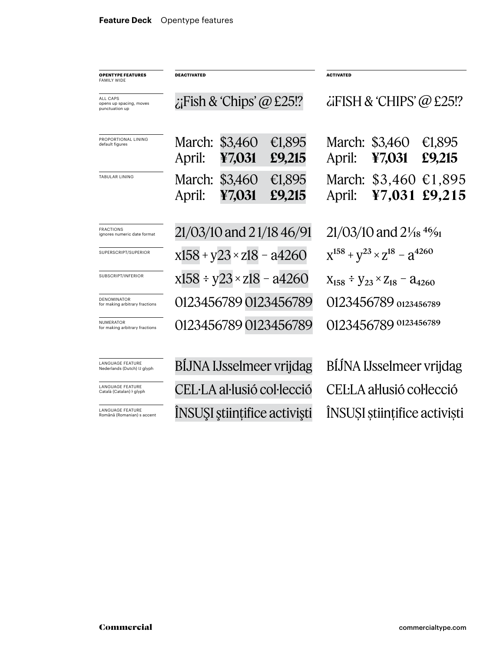| <b>OPENTYPE FEATURES</b><br><b>FAMILY WIDE</b>         | <b>DEACTIVATED</b>                 |                   |                  | <b>ACTIVATED</b>                                             |                   |                  |
|--------------------------------------------------------|------------------------------------|-------------------|------------------|--------------------------------------------------------------|-------------------|------------------|
| ALL CAPS<br>opens up spacing, moves<br>punctuation up  | $\chi$ Fish & 'Chips' @ £25!?      |                   |                  | $\lambda$ iFISH & 'CHIPS' @ £25!?                            |                   |                  |
| PROPORTIONAL LINING<br>default figures                 | March:<br>April:                   | \$3,460<br>¥7,031 | €1,895<br>£9,215 | March:<br>April:                                             | \$3,460<br>47,031 | €1,895<br>£9,215 |
| <b>TABULAR LINING</b>                                  | March:<br>April:                   | \$3,460<br>¥7,031 | €1,895<br>£9,215 | March:<br>April:                                             | \$3,460<br>¥7,031 | €1,895<br>£9,215 |
| <b>FRACTIONS</b><br>ignores numeric date format        | 21/03/10 and 21/18 46/91           |                   |                  | $21/03/10$ and $2\frac{1}{18}$ <sup>46</sup> / <sub>91</sub> |                   |                  |
| SUPERSCRIPT/SUPERIOR                                   | $x158 + y23 \times z18 - a4260$    |                   |                  | $X^{158} + Y^{23} \times Z^{18} - Z^{4260}$                  |                   |                  |
| SUBSCRIPT/INFERIOR                                     | $x158 \div y23 \times z18 - a4260$ |                   |                  | $X_{158} \div Y_{23} \times Z_{18} - 24_{4260}$              |                   |                  |
| DENOMINATOR<br>for making arbitrary fractions          | 0123456789 0123456789              |                   |                  | 0123456789 0123456789                                        |                   |                  |
| <b>NUMERATOR</b><br>for making arbitrary fractions     | 0123456789 0123456789              |                   |                  | 0123456789 0123456789                                        |                   |                  |
| <b>LANGUAGE FEATURE</b><br>Nederlands (Dutch) IJ glyph | <b>BIJNA IJsselmeer vrijdag</b>    |                   |                  | BÍJNA IJsselmeer vrijdag                                     |                   |                  |
| <b>LANGUAGE FEATURE</b><br>Català (Catalan) ŀ glyph    | CEL·LA al·lusió col·lecció         |                   |                  | CELLA al·lusió col·lecció                                    |                   |                  |
| LANGUAGE FEATURE<br>Română (Romanian) s accent         | ÎNSUȘI științifice activiști       |                   |                  | ÎNSUȘI științifice activiști                                 |                   |                  |